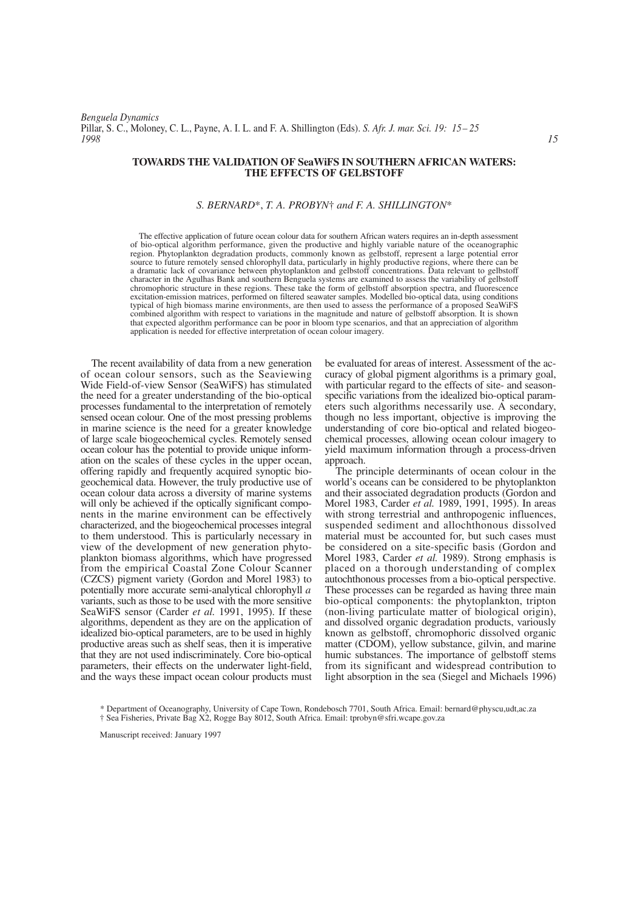*Benguela Dynamics* Pillar, S. C., Moloney, C. L., Payne, A. I. L. and F. A. Shillington (Eds). *S. Afr. J. mar. Sci. 19: 15– 25 1998 15*

# **TOWARDS THE VALIDATION OF SeaWiFS IN SOUTHERN AFRICAN WATERS: THE EFFECTS OF GELBSTOFF**

# *S. BERNARD*\*, *T. A. PROBYN*† *and F. A. SHILLINGTON*\*

The effective application of future ocean colour data for southern African waters requires an in-depth assessment of bio-optical algorithm performance, given the productive and highly variable nature of the oceanographic region. Phytoplankton degradation products, commonly known as gelbstoff, represent a large potential error source to future remotely sensed chlorophyll data, particularly in highly productive regions, where there can be a dramatic lack of covariance between phytoplankton and gelbstoff concentrations. Data relevant to gelbstoff character in the Agulhas Bank and southern Benguela systems are examined to assess the variability of gelbstoff chromophoric structure in these regions. These take the form of gelbstoff absorption spectra, and fluorescence excitation-emission matrices, performed on filtered seawater samples. Modelled bio-optical data, using conditions typical of high biomass marine environments, are then used to assess the performance of a proposed SeaWiFS combined algorithm with respect to variations in the magnitude and nature of gelbstoff absorption. It is shown that expected algorithm performance can be poor in bloom type scenarios, and that an appreciation of algorithm application is needed for effective interpretation of ocean colour imagery.

The recent availability of data from a new generation of ocean colour sensors, such as the Seaviewing Wide Field-of-view Sensor (SeaWiFS) has stimulated the need for a greater understanding of the bio-optical processes fundamental to the interpretation of remotely sensed ocean colour. One of the most pressing problems in marine science is the need for a greater knowledge of large scale biogeochemical cycles. Remotely sensed ocean colour has the potential to provide unique information on the scales of these cycles in the upper ocean, offering rapidly and frequently acquired synoptic biogeochemical data. However, the truly productive use of ocean colour data across a diversity of marine systems will only be achieved if the optically significant components in the marine environment can be effectively characterized, and the biogeochemical processes integral to them understood. This is particularly necessary in view of the development of new generation phytoplankton biomass algorithms, which have progressed from the empirical Coastal Zone Colour Scanner (CZCS) pigment variety (Gordon and Morel 1983) to potentially more accurate semi-analytical chlorophyll *a* variants, such as those to be used with the more sensitive SeaWiFS sensor (Carder *et al.* 1991, 1995). If these algorithms, dependent as they are on the application of idealized bio-optical parameters, are to be used in highly productive areas such as shelf seas, then it is imperative that they are not used indiscriminately. Core bio-optical parameters, their effects on the underwater light-field, and the ways these impact ocean colour products must be evaluated for areas of interest. Assessment of the accuracy of global pigment algorithms is a primary goal, with particular regard to the effects of site- and seasonspecific variations from the idealized bio-optical parameters such algorithms necessarily use. A secondary, though no less important, objective is improving the understanding of core bio-optical and related biogeochemical processes, allowing ocean colour imagery to yield maximum information through a process-driven approach.

The principle determinants of ocean colour in the world's oceans can be considered to be phytoplankton and their associated degradation products (Gordon and Morel 1983, Carder *et al.* 1989, 1991, 1995). In areas with strong terrestrial and anthropogenic influences, suspended sediment and allochthonous dissolved material must be accounted for, but such cases must be considered on a site-specific basis (Gordon and Morel 1983, Carder *et al.* 1989). Strong emphasis is placed on a thorough understanding of complex autochthonous processes from a bio-optical perspective. These processes can be regarded as having three main bio-optical components: the phytoplankton, tripton (non-living particulate matter of biological origin), and dissolved organic degradation products, variously known as gelbstoff, chromophoric dissolved organic matter (CDOM), yellow substance, gilvin, and marine humic substances. The importance of gelbstoff stems from its significant and widespread contribution to light absorption in the sea (Siegel and Michaels 1996)

Manuscript received: January 1997

<sup>\*</sup> Department of Oceanography, University of Cape Town, Rondebosch 7701, South Africa. Email: bernard@physcu,udt,ac.za † Sea Fisheries, Private Bag X2, Rogge Bay 8012, South Africa. Email: tprobyn@sfri.wcape.gov.za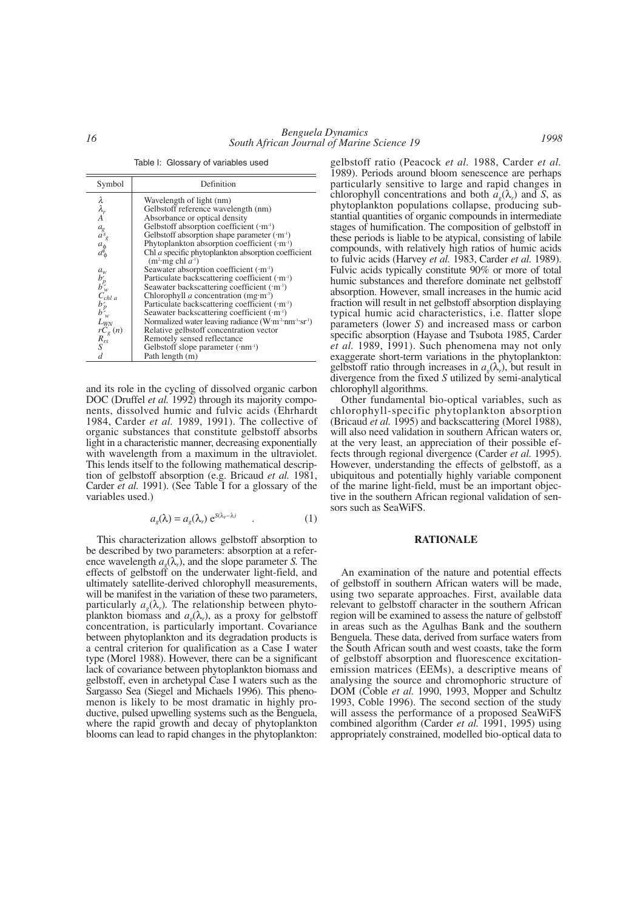Table I: Glossary of variables used

| Symbol                                                               | Definition                                                                        |
|----------------------------------------------------------------------|-----------------------------------------------------------------------------------|
| $\begin{matrix} \lambda \ \lambda_r \ A \end{matrix}$                | Wavelength of light (nm)                                                          |
|                                                                      | Gelbstoff reference wavelength (nm)                                               |
|                                                                      | Absorbance or optical density                                                     |
|                                                                      | Gelbstoff absorption coefficient $(m-1)$                                          |
|                                                                      | Gelbstoff absorption shape parameter $(m-1)$                                      |
|                                                                      | Phytoplankton absorption coefficient $(m-1)$                                      |
| $\begin{array}{c} a_g\\ a^s_g\\ a_\varphi\\ a^s_\varphi \end{array}$ | Chl a specific phytoplankton absorption coefficient<br>$(m^2 \text{mg chl } a^1)$ |
|                                                                      | Seawater absorption coefficient $(m-1)$                                           |
|                                                                      | Particulate backscattering coefficient $(m-1)$                                    |
|                                                                      | Seawater backscattering coefficient (·m <sup>1</sup> )                            |
| $\begin{array}{c} a_w\\ b'_p\\ b'_w\\ C_{chl\ a} \end{array}$        | Chlorophyll <i>a</i> concentration (mg·m <sup>-3</sup> )                          |
|                                                                      | Particulate backscattering coefficient ('m <sup>-1</sup> )                        |
| $b_p^{\prime}$                                                       | Seawater backscattering coefficient $(m-1)$                                       |
| ${\cal L}_{W\!N}$                                                    | Normalized water leaving radiance $(W \cdot m^2 \cdot nm^{-1} \cdot sr^{-1})$     |
|                                                                      | Relative gelbstoff concentration vector                                           |
|                                                                      | Remotely sensed reflectance                                                       |
| $\frac{rC_g}{R_{rs}}(n)$<br>S                                        | Gelbstoff slope parameter $(\cdot nm^{-1})$                                       |
| $\overline{d}$                                                       | Path length (m)                                                                   |

and its role in the cycling of dissolved organic carbon DOC (Druffel *et al.* 1992) through its majority components, dissolved humic and fulvic acids (Ehrhardt 1984, Carder *et al.* 1989, 1991). The collective of organic substances that constitute gelbstoff absorbs light in a characteristic manner, decreasing exponentially with wavelength from a maximum in the ultraviolet. This lends itself to the following mathematical description of gelbstoff absorption (e.g. Bricaud *et al.* 1981, Carder *et al.* 1991). (See Table I for a glossary of the variables used.)

$$
a_g(\lambda) = a_g(\lambda_r) e^{S(\lambda_r - \lambda)} \qquad . \tag{1}
$$

This characterization allows gelbstoff absorption to be described by two parameters: absorption at a reference wavelength  $a_{o}(\lambda)$ , and the slope parameter *S*. The effects of gelbstoff on the underwater light-field, and ultimately satellite-derived chlorophyll measurements, will be manifest in the variation of these two parameters, particularly  $a_{\nu}(\lambda_r)$ . The relationship between phytoplankton biomass and  $a_{\varrho}(\lambda_r)$ , as a proxy for gelbstoff concentration, is particularly important. Covariance between phytoplankton and its degradation products is a central criterion for qualification as a Case I water type (Morel 1988). However, there can be a significant lack of covariance between phytoplankton biomass and gelbstoff, even in archetypal Case I waters such as the Sargasso Sea (Siegel and Michaels 1996). This phenomenon is likely to be most dramatic in highly productive, pulsed upwelling systems such as the Benguela, where the rapid growth and decay of phytoplankton blooms can lead to rapid changes in the phytoplankton:

gelbstoff ratio (Peacock *et al.* 1988, Carder *et al.* 1989). Periods around bloom senescence are perhaps particularly sensitive to large and rapid changes in chlorophyll concentrations and both  $a_{\nu}(\lambda_r)$  and *S*, as phytoplankton populations collapse, producing substantial quantities of organic compounds in intermediate stages of humification. The composition of gelbstoff in these periods is liable to be atypical, consisting of labile compounds, with relatively high ratios of humic acids to fulvic acids (Harvey *et al.* 1983, Carder *et al.* 1989). Fulvic acids typically constitute 90% or more of total humic substances and therefore dominate net gelbstoff absorption. However, small increases in the humic acid fraction will result in net gelbstoff absorption displaying typical humic acid characteristics, i.e. flatter slope parameters (lower *S*) and increased mass or carbon specific absorption (Hayase and Tsubota 1985, Carder *et al.* 1989, 1991). Such phenomena may not only exaggerate short-term variations in the phytoplankton: gelbstoff ratio through increases in  $a<sub>o</sub>(\lambda<sub>r</sub>)$ , but result in divergence from the fixed *S* utilized by semi-analytical chlorophyll algorithms.

Other fundamental bio-optical variables, such as chlorophyll-specific phytoplankton absorption (Bricaud *et al.* 1995) and backscattering (Morel 1988), will also need validation in southern African waters or, at the very least, an appreciation of their possible effects through regional divergence (Carder *et al.* 1995). However, understanding the effects of gelbstoff, as a ubiquitous and potentially highly variable component of the marine light-field, must be an important objective in the southern African regional validation of sensors such as SeaWiFS.

## **RATIONALE**

An examination of the nature and potential effects of gelbstoff in southern African waters will be made, using two separate approaches. First, available data relevant to gelbstoff character in the southern African region will be examined to assess the nature of gelbstoff in areas such as the Agulhas Bank and the southern Benguela. These data, derived from surface waters from the South African south and west coasts, take the form of gelbstoff absorption and fluorescence excitationemission matrices (EEMs), a descriptive means of analysing the source and chromophoric structure of DOM (Coble *et al.* 1990, 1993, Mopper and Schultz 1993, Coble 1996). The second section of the study will assess the performance of a proposed SeaWiFS combined algorithm (Carder *et al.* 1991, 1995) using appropriately constrained, modelled bio-optical data to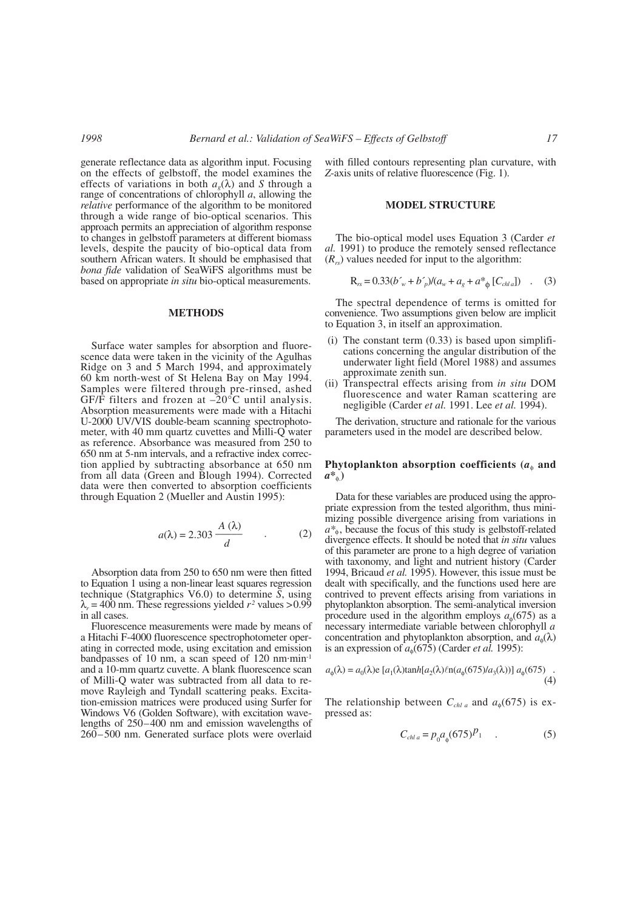generate reflectance data as algorithm input. Focusing on the effects of gelbstoff, the model examines the effects of variations in both  $a<sub>o</sub>(\lambda)$  and *S* through a range of concentrations of chlorophyll *a*, allowing the *relative* performance of the algorithm to be monitored through a wide range of bio-optical scenarios. This approach permits an appreciation of algorithm response to changes in gelbstoff parameters at different biomass levels, despite the paucity of bio-optical data from southern African waters. It should be emphasised that *bona fide* validation of SeaWiFS algorithms must be based on appropriate *in situ* bio-optical measurements.

# **METHODS**

Surface water samples for absorption and fluorescence data were taken in the vicinity of the Agulhas Ridge on 3 and 5 March 1994, and approximately 60 km north-west of St Helena Bay on May 1994. Samples were filtered through pre-rinsed, ashed GF/F filters and frozen at  $-20^{\circ}$ C until analysis. Absorption measurements were made with a Hitachi U-2000 UV/VIS double-beam scanning spectrophotometer, with 40 mm quartz cuvettes and Milli-Q water as reference. Absorbance was measured from 250 to 650 nm at 5-nm intervals, and a refractive index correction applied by subtracting absorbance at 650 nm from all data (Green and Blough 1994). Corrected data were then converted to absorption coefficients through Equation 2 (Mueller and Austin 1995):

$$
a(\lambda) = 2.303 \frac{A(\lambda)}{d} \qquad . \tag{2}
$$

Absorption data from 250 to 650 nm were then fitted to Equation 1 using a non-linear least squares regression technique (Statgraphics V6.0) to determine *S*, using  $\lambda_r = 400$  nm. These regressions yielded  $r^2$  values > 0.99 in all cases.

Fluorescence measurements were made by means of a Hitachi F-4000 fluorescence spectrophotometer operating in corrected mode, using excitation and emission bandpasses of 10 nm, a scan speed of 120 nm·min-1 and a 10-mm quartz cuvette. A blank fluorescence scan of Milli-Q water was subtracted from all data to remove Rayleigh and Tyndall scattering peaks. Excitation-emission matrices were produced using Surfer for Windows V6 (Golden Software), with excitation wavelengths of 250–400 nm and emission wavelengths of 260–500 nm. Generated surface plots were overlaid

with filled contours representing plan curvature, with *Z*-axis units of relative fluorescence (Fig. 1).

#### **MODEL STRUCTURE**

The bio-optical model uses Equation 3 (Carder *et al.* 1991) to produce the remotely sensed reflectance  $(R_{rs})$  values needed for input to the algorithm:

$$
R_{rs} = 0.33(b'_{w} + b'_{p})/(a_{w} + a_{g} + a^{*}_{\phi} [C_{\text{chla}}])
$$
 (3)

The spectral dependence of terms is omitted for convenience. Two assumptions given below are implicit to Equation 3, in itself an approximation.

- $(i)$  The constant term  $(0.33)$  is based upon simplifications concerning the angular distribution of the underwater light field (Morel 1988) and assumes approximate zenith sun.
- (ii) Transpectral effects arising from *in situ* DOM fluorescence and water Raman scattering are negligible (Carder *et al.* 1991. Lee *et al.* 1994).

The derivation, structure and rationale for the various parameters used in the model are described below.

# **Phytoplankton absorption coefficients (** $a$ **<sup>** $\phi$ **</sup> and** *a\**φ.**)**

Data for these variables are produced using the appropriate expression from the tested algorithm, thus minimizing possible divergence arising from variations in *a\**φ, because the focus of this study is gelbstoff-related divergence effects. It should be noted that *in situ* values of this parameter are prone to a high degree of variation with taxonomy, and light and nutrient history (Carder 1994, Bricaud *et al.* 1995). However, this issue must be dealt with specifically, and the functions used here are contrived to prevent effects arising from variations in phytoplankton absorption. The semi-analytical inversion procedure used in the algorithm employs  $a_{\phi}(675)$  as a necessary intermediate variable between chlorophyll *a* concentration and phytoplankton absorption, and  $a_{\phi}(\lambda)$ is an expression of  $a_{\phi}(675)$  (Carder *et al.* 1995):

$$
a_{\phi}(\lambda) = a_0(\lambda) e [a_1(\lambda) \tanh[a_2(\lambda) \ln(a_{\phi}(675)/a_3(\lambda))] a_{\phi}(675)
$$
 (4)

The relationship between  $C_{chl a}$  and  $a_{\phi}(675)$  is expressed as:

$$
C_{\text{chla}} = p_0 a_{\phi} (675)^{p_1} \quad . \tag{5}
$$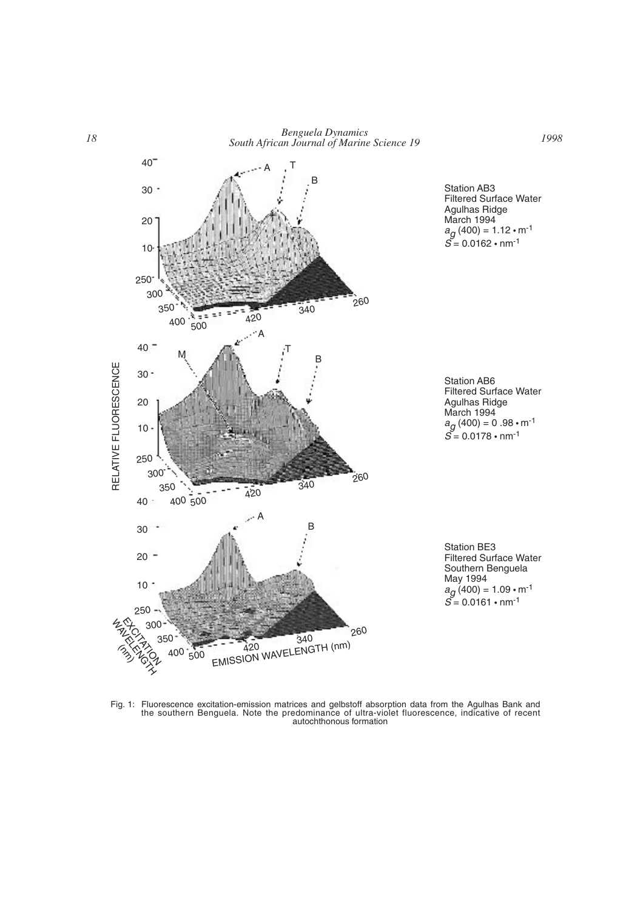

Fig. 1: Fluorescence excitation-emission matrices and gelbstoff absorption data from the Agulhas Bank and the southern Benguela. Note the predominance of ultra-violet fluorescence, indicative of recent autochthonous formation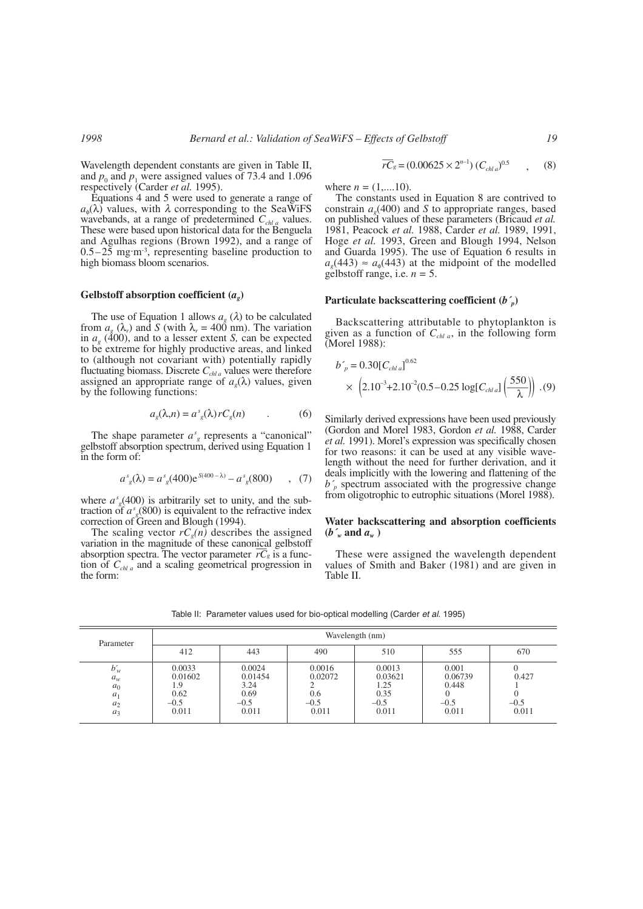Wavelength dependent constants are given in Table II, and  $p_0$  and  $p_1$  were assigned values of 73.4 and 1.096 respectively (Carder *et al.* 1995).

Equations 4 and 5 were used to generate a range of  $a_{\phi}(\lambda)$  values, with  $\lambda$  corresponding to the SeaWiFS wavebands, at a range of predetermined  $C_{chl a}$  values. These were based upon historical data for the Benguela and Agulhas regions (Brown 1992), and a range of  $0.5-25$  mg·m<sup>-3</sup>, representing baseline production to high biomass bloom scenarios.

#### **Gelbstoff absorption coefficient (***ag***)**

The use of Equation 1 allows  $a_{\varphi}(\lambda)$  to be calculated from  $a_{\alpha}$  ( $\lambda_r$ ) and *S* (with  $\lambda_r = 400$  nm). The variation in  $a_{\alpha}$  (400), and to a lesser extent *S*, can be expected to be extreme for highly productive areas, and linked to (although not covariant with) potentially rapidly fluctuating biomass. Discrete  $C_{chla}$  values were therefore assigned an appropriate range of  $a<sub>g</sub>(\lambda)$  values, given by the following functions:

$$
a_g(\lambda, n) = a^s_{g}(\lambda) r C_g(n) \tag{6}
$$

The shape parameter  $a<sup>s</sup><sub>g</sub>$  represents a "canonical" gelbstoff absorption spectrum, derived using Equation 1 in the form of:

$$
a_s^s(\lambda) = a_s^s(400)e^{s(400-\lambda)} - a_s^s(800) \qquad , \tag{7}
$$

where  $a<sup>s</sup><sub>g</sub>(400)$  is arbitrarily set to unity, and the subtraction of  $a<sup>s</sup><sub>g</sub>$ (800) is equivalent to the refractive index correction of Green and Blough (1994).

The scaling vector  $rC_g(n)$  describes the assigned variation in the magnitude of these canonical gelbstoff absorption spectra. The vector parameter  $\overline{rC_s}$  is a funcabsorption spectra. The vector parameter  $\overline{rC_g}$  is a function of *Cchl a* and a scaling geometrical progression in the form:

$$
\overline{rC}_g = (0.00625 \times 2^{n-1}) (C_{chla})^{0.5} \qquad , \qquad (8)
$$

where  $n = (1,...10)$ .

The constants used in Equation 8 are contrived to constrain  $a<sub>e</sub>(400)$  and *S* to appropriate ranges, based on published values of these parameters (Bricaud *et al.* 1981, Peacock *et al.* 1988, Carder *et al.* 1989, 1991, Hoge *et al.* 1993, Green and Blough 1994, Nelson and Guarda 1995). The use of Equation 6 results in  $a_q(443) \approx a_q(443)$  at the midpoint of the modelled gelbstoff range, i.e. *n =* 5.

# **Particulate backscattering coefficient (***b´p***)**

Backscattering attributable to phytoplankton is given as a function of  $C_{chl a}$ , in the following form (Morel 1988):

$$
b'_{p} = 0.30[C_{chla}]^{0.62}
$$
  
 
$$
\times \left(2.10^{-3} + 2.10^{-2}(0.5 - 0.25 \log[C_{chla}]\left(\frac{550}{\lambda}\right)\right). (9)
$$

Similarly derived expressions have been used previously (Gordon and Morel 1983, Gordon *et al.* 1988, Carder *et al.* 1991). Morel's expression was specifically chosen for two reasons: it can be used at any visible wavelength without the need for further derivation, and it deals implicitly with the lowering and flattening of the  $b<sub>p</sub>$  spectrum associated with the progressive change from oligotrophic to eutrophic situations (Morel 1988).

## **Water backscattering and absorption coefficients**  $(b<sub>w</sub><sup>o</sup>$  and  $a<sub>w</sub><sup>o</sup>$ )

These were assigned the wavelength dependent values of Smith and Baker (1981) and are given in Table II.

| Parameter                                           | Wavelength (nm)                                      |                                                      |                                             |                                                      |                                              |                          |
|-----------------------------------------------------|------------------------------------------------------|------------------------------------------------------|---------------------------------------------|------------------------------------------------------|----------------------------------------------|--------------------------|
|                                                     | 412                                                  | 443                                                  | 490                                         | 510                                                  | 555                                          | 670                      |
| $b'_w$<br>$a_w$<br>$a_0$<br>$a_1$<br>$a_2$<br>$a_3$ | 0.0033<br>0.01602<br>0. ا<br>0.62<br>$-0.5$<br>0.011 | 0.0024<br>0.01454<br>3.24<br>0.69<br>$-0.5$<br>0.011 | 0.0016<br>0.02072<br>0.6<br>$-0.5$<br>0.011 | 0.0013<br>0.03621<br>1.25<br>0.35<br>$-0.5$<br>0.011 | 0.001<br>0.06739<br>0.448<br>$-0.5$<br>0.011 | 0.427<br>$-0.5$<br>0.011 |

Table II: Parameter values used for bio-optical modelling (Carder *et al.* 1995)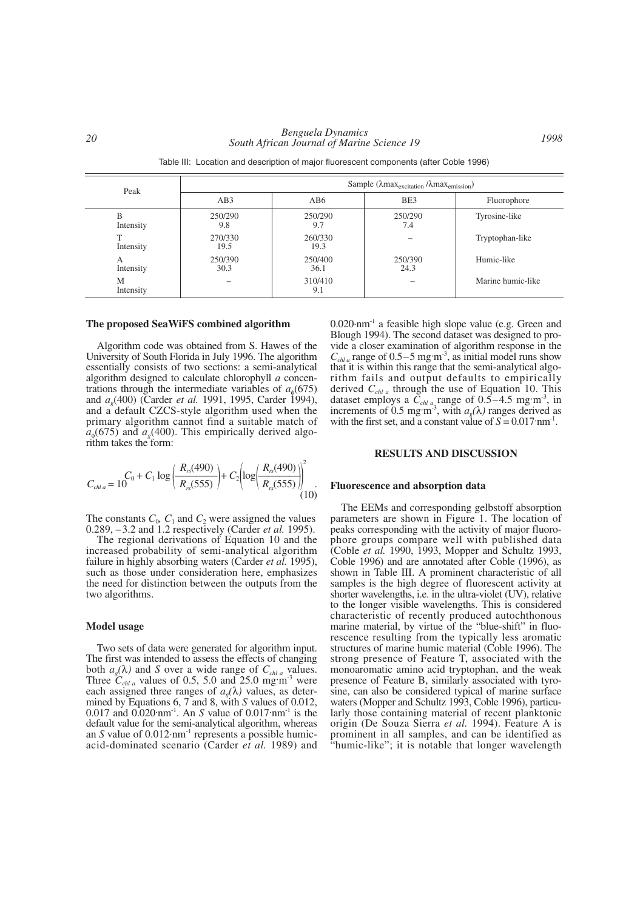| Peak           | Sample ( $\lambda$ max <sub>excitation</sub> / $\lambda$ max <sub>emission</sub> ) |                 |                 |                   |  |  |
|----------------|------------------------------------------------------------------------------------|-----------------|-----------------|-------------------|--|--|
|                | AB3                                                                                | AB6             | BE3             | Fluorophore       |  |  |
| B<br>Intensity | 250/290<br>9.8                                                                     | 250/290<br>9.7  | 250/290<br>7.4  | Tyrosine-like     |  |  |
| Intensity      | 270/330<br>19.5                                                                    | 260/330<br>19.3 |                 | Tryptophan-like   |  |  |
| А<br>Intensity | 250/390<br>30.3                                                                    | 250/400<br>36.1 | 250/390<br>24.3 | Humic-like        |  |  |
| M<br>Intensity |                                                                                    | 310/410<br>9.1  |                 | Marine humic-like |  |  |

Table III: Location and description of major fluorescent components (after Coble 1996)

## **The proposed SeaWiFS combined algorithm**

Algorithm code was obtained from S. Hawes of the University of South Florida in July 1996. The algorithm essentially consists of two sections: a semi-analytical algorithm designed to calculate chlorophyll *a* concentrations through the intermediate variables of  $a_{\phi}(675)$ and *a<sub>9</sub>*(400) (Carder *et al.* 1991, 1995, Carder 1994), and a default CZCS-style algorithm used when the primary algorithm cannot find a suitable match of  $a_{\phi}(675)$  and  $a_{\phi}(400)$ . This empirically derived algorithm takes the form:

$$
C_{\text{chla}} = 10^{C_0 + C_1 \log \left( \frac{R_{\text{rs}}(490)}{R_{\text{rs}}(555)} \right) + C_2 \left( \log \left( \frac{R_{\text{rs}}(490)}{R_{\text{rs}}(555)} \right) \right)^2 \tag{10}
$$

The constants  $C_0$ ,  $C_1$  and  $C_2$  were assigned the values 0.289, –3.2 and 1.2 respectively (Carder *et al.* 1995).

The regional derivations of Equation 10 and the increased probability of semi-analytical algorithm failure in highly absorbing waters (Carder *et al.* 1995), such as those under consideration here, emphasizes the need for distinction between the outputs from the two algorithms.

#### **Model usage**

Two sets of data were generated for algorithm input. The first was intended to assess the effects of changing both  $a_g(\lambda)$  and *S* over a wide range of  $C_{chla}$  values. Three  $C_{chl,a}$  values of 0.5, 5.0 and 25.0 mg·m<sup>-3</sup> were each assigned three ranges of  $a<sub>e</sub>(\lambda)$  values, as determined by Equations 6, 7 and 8, with *S* values of 0.012, 0.017 and 0.020·nm-1. An *S* value of 0.017·nm-1 is the default value for the semi-analytical algorithm, whereas an *S* value of 0.012·nm<sup>-1</sup> represents a possible humicacid-dominated scenario (Carder *et al.* 1989) and

0.020·nm-1 a feasible high slope value (e.g. Green and Blough 1994). The second dataset was designed to provide a closer examination of algorithm response in the  $C_{\text{chla}}$  range of 0.5–5 mg·m<sup>-3</sup>, as initial model runs show that it is within this range that the semi-analytical algorithm fails and output defaults to empirically derived *Cchl a* through the use of Equation 10. This dataset employs a  $\tilde{C}_{chl a}$  range of 0.5–4.5 mg·m<sup>-3</sup>, in increments of 0.5 mg·m<sup>-3</sup>, with  $a_g(\lambda)$  ranges derived as with the first set, and a constant value of  $S = 0.017$ ·nm<sup>-1</sup>.

# **RESULTS AND DISCUSSION**

#### **Fluorescence and absorption data**

The EEMs and corresponding gelbstoff absorption parameters are shown in Figure 1. The location of peaks corresponding with the activity of major fluorophore groups compare well with published data (Coble *et al.* 1990, 1993, Mopper and Schultz 1993, Coble 1996) and are annotated after Coble (1996), as shown in Table III. A prominent characteristic of all samples is the high degree of fluorescent activity at shorter wavelengths, i.e. in the ultra-violet (UV), relative to the longer visible wavelengths. This is considered characteristic of recently produced autochthonous marine material, by virtue of the "blue-shift" in fluorescence resulting from the typically less aromatic structures of marine humic material (Coble 1996). The strong presence of Feature T, associated with the monoaromatic amino acid tryptophan, and the weak presence of Feature B, similarly associated with tyrosine, can also be considered typical of marine surface waters (Mopper and Schultz 1993, Coble 1996), particularly those containing material of recent planktonic origin (De Souza Sierra *et al.* 1994). Feature A is prominent in all samples, and can be identified as "humic-like"; it is notable that longer wavelength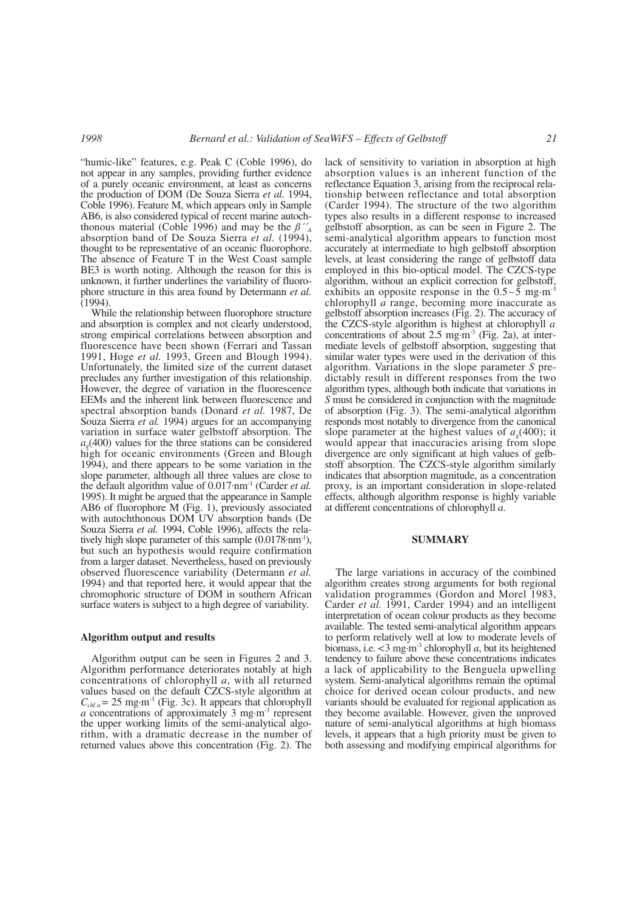"humic-like" features, e.g. Peak C (Coble 1996), do not appear in any samples, providing further evidence of a purely oceanic environment, at least as concerns the production of DOM (De Souza Sierra *et al.* 1994, Coble 1996). Feature M, which appears only in Sample AB6, is also considered typical of recent marine autochthonous material (Coble 1996) and may be the  $\beta^{\prime\prime}$ <sub>A</sub> absorption band of De Souza Sierra *et al.* (1994), thought to be representative of an oceanic fluorophore. The absence of Feature T in the West Coast sample BE3 is worth noting. Although the reason for this is unknown, it further underlines the variability of fluorophore structure in this area found by Determann *et al.* (1994).

While the relationship between fluorophore structure and absorption is complex and not clearly understood, strong empirical correlations between absorption and fluorescence have been shown (Ferrari and Tassan 1991, Hoge *et al.* 1993, Green and Blough 1994). Unfortunately, the limited size of the current dataset precludes any further investigation of this relationship. However, the degree of variation in the fluorescence EEMs and the inherent link between fluorescence and spectral absorption bands (Donard *et al.* 1987, De Souza Sierra *et al.* 1994) argues for an accompanying variation in surface water gelbstoff absorption. The  $a<sub>g</sub>(400)$  values for the three stations can be considered high for oceanic environments (Green and Blough 1994), and there appears to be some variation in the slope parameter, although all three values are close to the default algorithm value of 0.017·nm-1 (Carder *et al.* 1995). It might be argued that the appearance in Sample AB6 of fluorophore M (Fig. 1), previously associated with autochthonous DOM UV absorption bands (De Souza Sierra *et al.* 1994, Coble 1996), affects the relatively high slope parameter of this sample  $(0.0178 \, \text{nm}^{-1})$ , but such an hypothesis would require confirmation from a larger dataset. Nevertheless, based on previously observed fluorescence variability (Determann *et al.* 1994) and that reported here, it would appear that the chromophoric structure of DOM in southern African surface waters is subject to a high degree of variability.

## **Algorithm output and results**

Algorithm output can be seen in Figures 2 and 3. Algorithm performance deteriorates notably at high concentrations of chlorophyll *a*, with all returned values based on the default CZCS-style algorithm at  $C_{\text{chla}} = 25$  mg·m<sup>-3</sup> (Fig. 3c). It appears that chlorophyll *a* concentrations of approximately 3 mg·m-3 represent the upper working limits of the semi-analytical algorithm, with a dramatic decrease in the number of returned values above this concentration (Fig. 2). The

lack of sensitivity to variation in absorption at high absorption values is an inherent function of the reflectance Equation 3, arising from the reciprocal relationship between reflectance and total absorption (Carder 1994). The structure of the two algorithm types also results in a different response to increased gelbstoff absorption, as can be seen in Figure 2. The semi-analytical algorithm appears to function most accurately at intermediate to high gelbstoff absorption levels, at least considering the range of gelbstoff data employed in this bio-optical model. The CZCS-type algorithm, without an explicit correction for gelbstoff, exhibits an opposite response in the  $0.5-\overline{5}$  mg·m<sup>-3</sup> chlorophyll *a* range, becoming more inaccurate as gelbstoff absorption increases (Fig. 2). The accuracy of the CZCS-style algorithm is highest at chlorophyll *a* concentrations of about  $2.5$  mg $\cdot$ m<sup>-3</sup> (Fig. 2a), at intermediate levels of gelbstoff absorption, suggesting that similar water types were used in the derivation of this algorithm. Variations in the slope parameter *S* predictably result in different responses from the two algorithm types, although both indicate that variations in *S* must be considered in conjunction with the magnitude of absorption (Fig. 3). The semi-analytical algorithm responds most notably to divergence from the canonical slope parameter at the highest values of  $a<sub>o</sub>(400)$ ; it would appear that inaccuracies arising from slope divergence are only significant at high values of gelbstoff absorption. The CZCS-style algorithm similarly indicates that absorption magnitude, as a concentration proxy, is an important consideration in slope-related effects, although algorithm response is highly variable at different concentrations of chlorophyll *a*.

## **SUMMARY**

The large variations in accuracy of the combined algorithm creates strong arguments for both regional validation programmes (Gordon and Morel 1983, Carder *et al.* 1991, Carder 1994) and an intelligent interpretation of ocean colour products as they become available. The tested semi-analytical algorithm appears to perform relatively well at low to moderate levels of biomass, i.e. <3 mg·m-3 chlorophyll *a*, but its heightened tendency to failure above these concentrations indicates a lack of applicability to the Benguela upwelling system. Semi-analytical algorithms remain the optimal choice for derived ocean colour products, and new variants should be evaluated for regional application as they become available. However, given the unproved nature of semi-analytical algorithms at high biomass levels, it appears that a high priority must be given to both assessing and modifying empirical algorithms for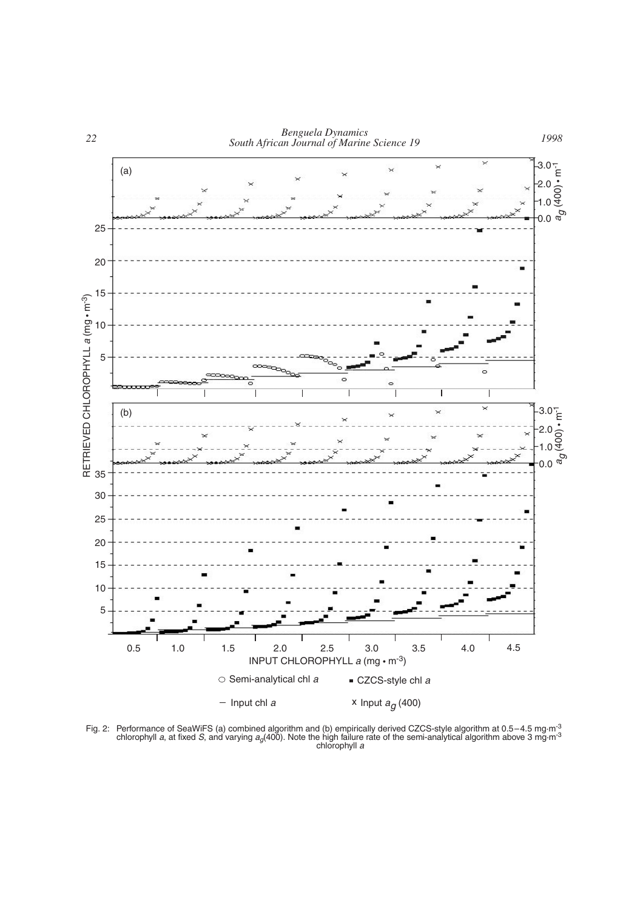

Fig. 2: Performance of SeaWiFS (a) combined algorithm and (b) empirically derived CZCS-style algorithm at 0.5–4.5 mg·m<sup>-3</sup> chlorophyll *a*, at fixed *S*, and varying *ag*(400). Note the high failure rate of the semi-analytical algorithm above 3 mg·m-3 chlorophyll *a*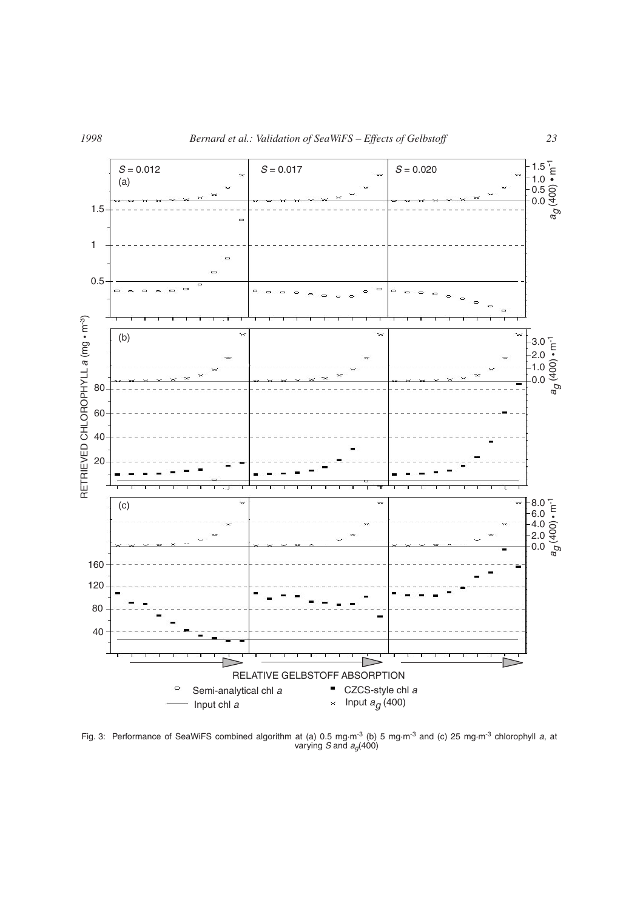

Fig. 3: Performance of SeaWiFS combined algorithm at (a) 0.5 mg·m-3 (b) 5 mg·m-3 and (c) 25 mg·m-3 chlorophyll *a*, at varying *S* and *ag*(400)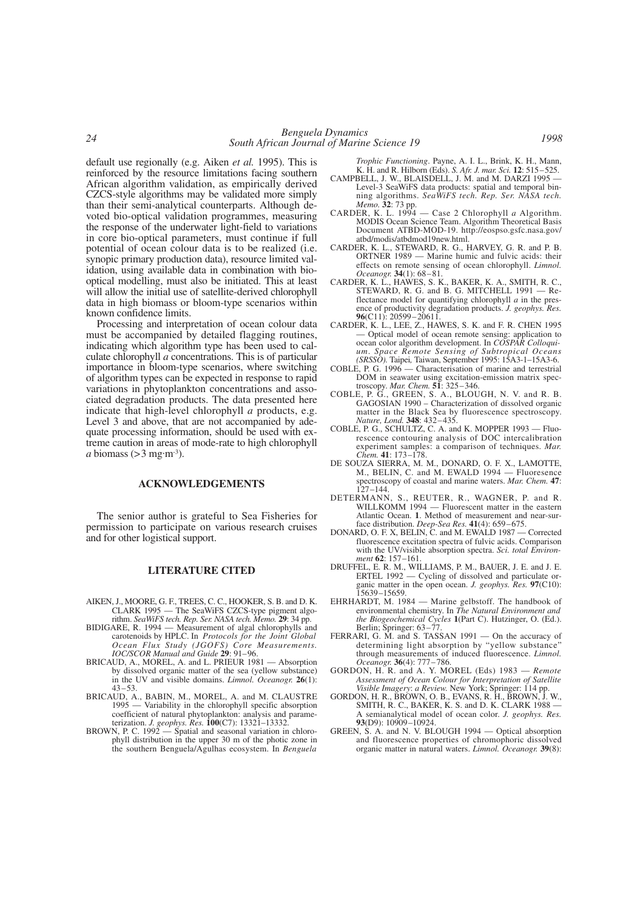default use regionally (e.g. Aiken *et al.* 1995). This is reinforced by the resource limitations facing southern African algorithm validation, as empirically derived CZCS-style algorithms may be validated more simply than their semi-analytical counterparts. Although devoted bio-optical validation programmes, measuring the response of the underwater light-field to variations in core bio-optical parameters, must continue if full potential of ocean colour data is to be realized (i.e. synopic primary production data), resource limited validation, using available data in combination with biooptical modelling, must also be initiated. This at least will allow the initial use of satellite-derived chlorophyll data in high biomass or bloom-type scenarios within known confidence limits.

Processing and interpretation of ocean colour data must be accompanied by detailed flagging routines, indicating which algorithm type has been used to calculate chlorophyll *a* concentrations. This is of particular importance in bloom-type scenarios, where switching of algorithm types can be expected in response to rapid variations in phytoplankton concentrations and associated degradation products. The data presented here indicate that high-level chlorophyll *a* products, e.g. Level 3 and above, that are not accompanied by adequate processing information, should be used with extreme caution in areas of mode-rate to high chlorophyll *a* biomass  $(>3$  mg·m<sup>-3</sup>).

# **ACKNOWLEDGEMENTS**

The senior author is grateful to Sea Fisheries for permission to participate on various research cruises and for other logistical support.

#### **LITERATURE CITED**

- AIKEN, J., MOORE, G. F., TREES, C. C., HOOKER, S. B. and D. K. CLARK 1995 — The SeaWiFS CZCS-type pigment algo-rithm. *SeaWiFS tech. Rep. Ser. NASA tech. Memo.* **29**: 34 pp.
- BIDIGARE, R. 1994 Measurement of algal chlorophylls and carotenoids by HPLC. In *Protocols for the Joint Global Ocean Flux Study (JGOFS) Core Measurements. IOC/SCOR Manual and Guide* **29**: 91–96.
- BRICAUD, A., MOREL, A. and L. PRIEUR 1981 Absorption by dissolved organic matter of the sea (yellow substance) in the UV and visible domains. *Limnol. Oceanogr.* **26**(1): 43–53.
- BRICAUD, A., BABIN, M., MOREL, A. and M. CLAUSTRE 1995 — Variability in the chlorophyll specific absorption coefficient of natural phytoplankton: analysis and parameterization. *J. geophys. Res.* **100**(C7): 13321–13332.
- BROWN, P. C. 1992 Spatial and seasonal variation in chlorophyll distribution in the upper 30 m of the photic zone in the southern Benguela/Agulhas ecosystem. In *Benguela*

*Trophic Functioning*. Payne, A. I. L., Brink, K. H., Mann, K. H. and R. Hilborn (Eds). *S. Afr. J. mar. Sci.* **12**: 515–525.

- CAMPBELL, J. W., BLAISDELL, J. M. and M. DARZI 1995 Level-3 SeaWiFS data products: spatial and temporal binning algorithms. *SeaWiFS tech. Rep. Ser. NASA tech. Memo.* **32**: 73 pp.
- CARDER, K. L. 1994 Case 2 Chlorophyll *a* Algorithm. MODIS Ocean Science Team. Algorithm Theoretical Basis Document ATBD-MOD-19. http://eospso.gsfc.nasa.gov/ atbd/modis/atbdmod19new.html.
- CARDER, K. L., STEWARD, R. G., HARVEY, G. R. and P. B. ORTNER 1989 — Marine humic and fulvic acids: their effects on remote sensing of ocean chlorophyll. *Limnol. Oceanogr.* **34**(1): 68–81.
- CARDER, K. L., HAWES, S. K., BAKER, K. A., SMITH, R. C., STEWARD, R. G. and B. G. MITCHELL 1991 — Reflectance model for quantifying chlorophyll *a* in the presence of productivity degradation products. *J. geophys. Res.* **96**(C11): 20599–20611.
- CARDER, K. L., LEE, Z., HAWES, S. K. and F. R. CHEN 1995 — Optical model of ocean remote sensing: application to ocean color algorithm development. In *COSPAR Colloquium*. *Space Remote Sensing of Subtropical Oceans (SRSSO).* Taipei*,* Taiwan, September 1995: 15A3-1–15A3-6.
- COBLE, P. G. 1996 Characterisation of marine and terrestrial DOM in seawater using excitation-emission matrix spec-troscopy. *Mar. Chem.* **51**: 325–346.
- COBLE, P. G., GREEN, S. A., BLOUGH, N. V. and R. B. GAGOSIAN 1990 – Characterization of dissolved organic matter in the Black Sea by fluorescence spectroscopy. *Nature, Lond.* **348**: 432–435.
- COBLE, P. G., SCHULTZ, C. A. and K. MOPPER 1993 Fluorescence contouring analysis of DOC intercalibration experiment samples: a comparison of techniques. *Mar. Chem.* **41**: 173–178.
- DE SOUZA SIERRA, M. M., DONARD, O. F. X., LAMOTTE, M., BELIN, C. and M. EWALD 1994 — Fluoresence spectroscopy of coastal and marine waters. *Mar. Chem.* **47**: 127–144.
- DETERMANN, S., REUTER, R., WAGNER, P. and R. WILLKOMM 1994 — Fluorescent matter in the eastern Atlantic Ocean. **1**. Method of measurement and near-surface distribution. *Deep-Sea Res.* **41**(4): 659–675.
- DONARD, O. F. X, BELIN, C. and M. EWALD 1987 Corrected fluorescence excitation spectra of fulvic acids. Comparison with the UV/visible absorption spectra. *Sci. total Environment* **62**: 157–161.
- DRUFFEL, E. R. M., WILLIAMS, P. M., BAUER, J. E. and J. E. ERTEL 1992 — Cycling of dissolved and particulate organic matter in the open ocean. *J. geophys. Res.* **97**(C10): 15639–15659.
- EHRHARDT, M. 1984 Marine gelbstoff. The handbook of environmental chemistry. In *The Natural Environment and the Biogeochemical Cycles* **1**(Part C). Hutzinger, O. (Ed.). Berlin; Springer: 63–77.
- FERRARI, G. M. and S. TASSAN 1991 On the accuracy of determining light absorption by "yellow substance" through measurements of induced fluorescence. *Limnol. Oceanogr.* **36**(4): 777–786.
- GORDON, H. R. and A. Y. MOREL (Eds) 1983 *Remote Assessment of Ocean Colour for Interpretation of Satellite Visible Imagery*: *a Review.* New York; Springer: 114 pp.
- GORDON, H. R., BROWN, O. B., EVANS, R. H., BROWN, J. W., SMITH, R. C., BAKER, K. S. and D. K. CLARK 1988 -A semianalytical model of ocean color. *J. geophys. Res.* **93**(D9): 10909–10924.
- GREEN, S. A. and N. V. BLOUGH 1994 Optical absorption and fluorescence properties of chromophoric dissolved organic matter in natural waters. *Limnol. Oceanogr.* **39**(8):